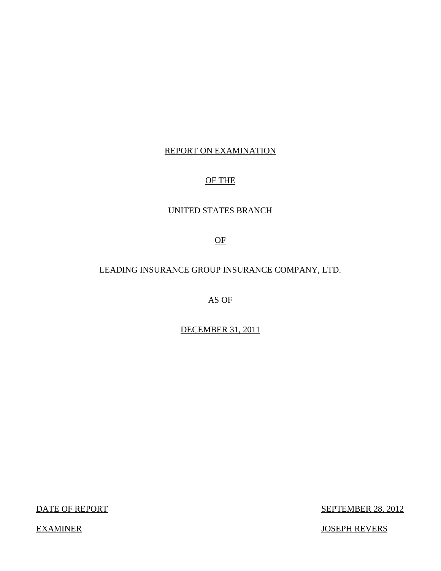## REPORT ON EXAMINATION

## OF THE

## UNITED STATES BRANCH

OF

## LEADING INSURANCE GROUP INSURANCE COMPANY, LTD.

AS OF

DECEMBER 31, 2011

DATE OF REPORT

**SEPTEMBER 28, 2012** 

JOSEPH REVERS

**EXAMINER**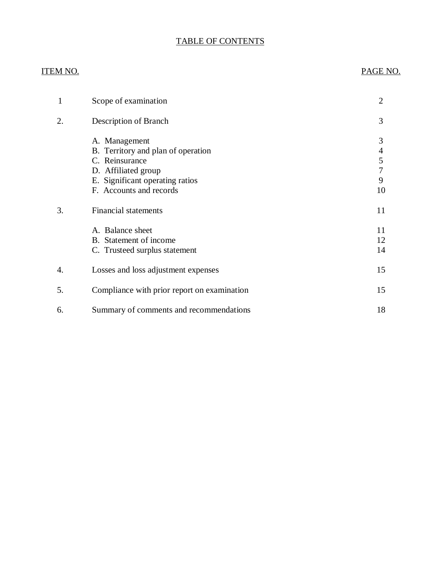## TABLE OF CONTENTS

## **ITEM NO.**

## PAGE NO.

| 1  | Scope of examination                                                                                                                                       | $\overline{2}$              |
|----|------------------------------------------------------------------------------------------------------------------------------------------------------------|-----------------------------|
| 2. | Description of Branch                                                                                                                                      | 3                           |
|    | A. Management<br>B. Territory and plan of operation<br>C. Reinsurance<br>D. Affiliated group<br>E. Significant operating ratios<br>F. Accounts and records | 3<br>4<br>5<br>7<br>9<br>10 |
| 3. | <b>Financial statements</b>                                                                                                                                | 11                          |
|    | A. Balance sheet<br>B. Statement of income<br>C. Trusteed surplus statement                                                                                | 11<br>12<br>14              |
| 4. | Losses and loss adjustment expenses                                                                                                                        | 15                          |
| 5. | Compliance with prior report on examination                                                                                                                | 15                          |
| 6. | Summary of comments and recommendations                                                                                                                    | 18                          |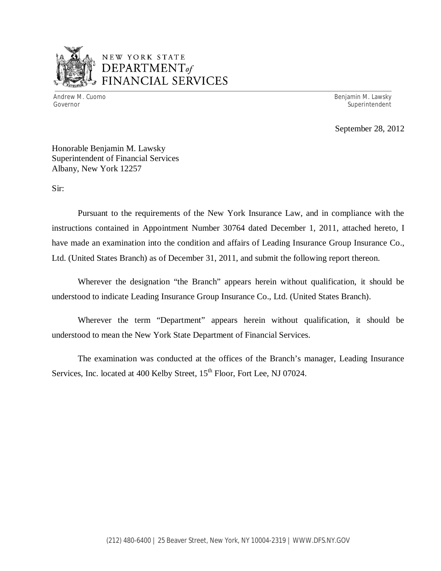

## NEW YORK STATE *DEPARTMENTof*  FINANCIAL SERVICES

Andrew M. Cuomo

Benjamin M. Lawsky Governor Superintendent Superintendent Superintendent Superintendent Superintendent Superintendent Superintendent

September 28, 2012

 Honorable Benjamin M. Lawsky Superintendent of Financial Services Albany, New York 12257

Sir:

 Pursuant to the requirements of the New York Insurance Law, and in compliance with the instructions contained in Appointment Number 30764 dated December 1, 2011, attached hereto, I have made an examination into the condition and affairs of Leading Insurance Group Insurance Co., Ltd. (United States Branch) as of December 31, 2011, and submit the following report thereon.

 Wherever the designation "the Branch" appears herein without qualification, it should be understood to indicate Leading Insurance Group Insurance Co., Ltd. (United States Branch).

 Wherever the term "Department" appears herein without qualification, it should be understood to mean the New York State Department of Financial Services.

Services, Inc. located at 400 Kelby Street, 15<sup>th</sup> Floor, Fort Lee, NJ 07024. The examination was conducted at the offices of the Branch's manager, Leading Insurance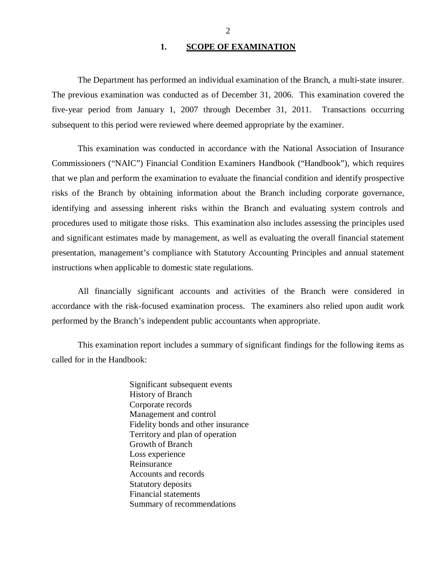#### **1. SCOPE OF EXAMINATION**

<span id="page-3-0"></span> The previous examination was conducted as of December 31, 2006. This examination covered the five-year period from January 1, 2007 through December 31, 2011. Transactions occurring subsequent to this period were reviewed where deemed appropriate by the examiner. The Department has performed an individual examination of the Branch, a multi-state insurer.

 Commissioners ("NAIC") Financial Condition Examiners Handbook ("Handbook"), which requires that we plan and perform the examination to evaluate the financial condition and identify prospective risks of the Branch by obtaining information about the Branch including corporate governance, identifying and assessing inherent risks within the Branch and evaluating system controls and procedures used to mitigate those risks. This examination also includes assessing the principles used and significant estimates made by management, as well as evaluating the overall financial statement presentation, management's compliance with Statutory Accounting Principles and annual statement instructions when applicable to domestic state regulations. This examination was conducted in accordance with the National Association of Insurance

 accordance with the risk-focused examination process. The examiners also relied upon audit work performed by the Branch's independent public accountants when appropriate. All financially significant accounts and activities of the Branch were considered in

 called for in the Handbook: This examination report includes a summary of significant findings for the following items as

> Significant subsequent events History of Branch Corporate records Management and control Fidelity bonds and other insurance Territory and plan of operation Growth of Branch Loss experience Reinsurance Reinsurance Accounts and records Statutory deposits Financial statements Summary of recommendations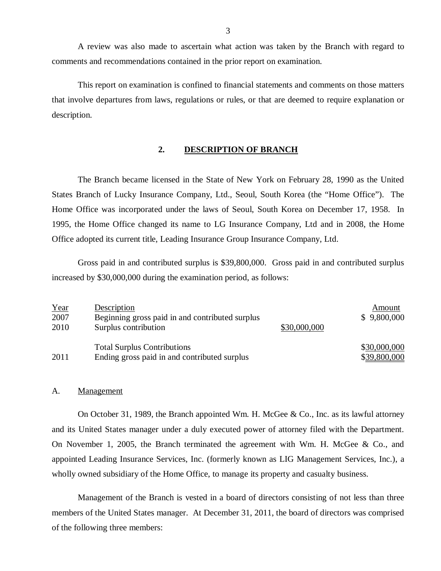comments and recommendations contained in the prior report on examination. A review was also made to ascertain what action was taken by the Branch with regard to

 that involve departures from laws, regulations or rules, or that are deemed to require explanation or This report on examination is confined to financial statements and comments on those matters description.

#### **2. DESCRIPTION OF BRANCH**

 States Branch of Lucky Insurance Company, Ltd., Seoul, South Korea (the "Home Office"). The Home Office was incorporated under the laws of Seoul, South Korea on December 17, 1958. In 1995, the Home Office changed its name to LG Insurance Company, Ltd and in 2008, the Home Office adopted its current title, Leading Insurance Group Insurance Company, Ltd. The Branch became licensed in the State of New York on February 28, 1990 as the United

 Gross paid in and contributed surplus is \$39,800,000. Gross paid in and contributed surplus increased by \$30,000,000 during the examination period, as follows:

| Year | Description                                     |              | Amount       |
|------|-------------------------------------------------|--------------|--------------|
| 2007 | Beginning gross paid in and contributed surplus |              | \$9,800,000  |
| 2010 | Surplus contribution                            | \$30,000,000 |              |
|      | <b>Total Surplus Contributions</b>              |              | \$30,000,000 |
| 2011 | Ending gross paid in and contributed surplus    |              | \$39,800,000 |

#### A. Management

 and its United States manager under a duly executed power of attorney filed with the Department. On November 1, 2005, the Branch terminated the agreement with Wm. H. McGee & Co., and appointed Leading Insurance Services, Inc. (formerly known as LIG Management Services, Inc.), a wholly owned subsidiary of the Home Office, to manage its property and casualty business. On October 31, 1989, the Branch appointed Wm. H. McGee & Co., Inc. as its lawful attorney

 Management of the Branch is vested in a board of directors consisting of not less than three members of the United States manager. At December 31, 2011, the board of directors was comprised of the following three members: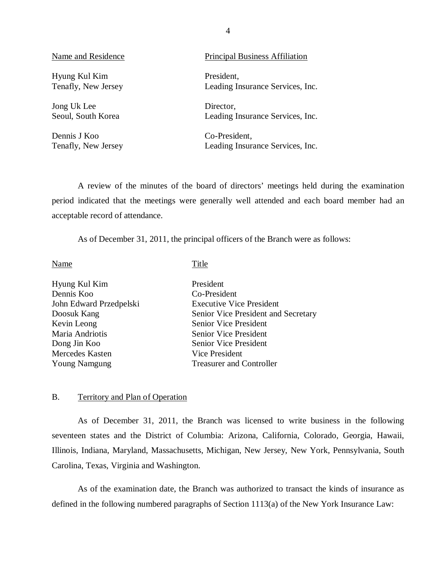Hyung Kul Kim Tenafly, New Jersey

 Jong Uk Lee Seoul, South Korea

 Dennis J Koo Tenafly, New Jersey

#### <span id="page-5-0"></span>Name and Residence **Principal Business Affiliation**

President, Leading Insurance Services, Inc.

Director, Leading Insurance Services, Inc.

Co-President, Leading Insurance Services, Inc.

 period indicated that the meetings were generally well attended and each board member had an acceptable record of attendance. A review of the minutes of the board of directors' meetings held during the examination

As of December 31, 2011, the principal officers of the Branch were as follows:

Name

Title

| Hyung Kul Kim           | President                           |
|-------------------------|-------------------------------------|
| Dennis Koo              | Co-President                        |
| John Edward Przedpelski | <b>Executive Vice President</b>     |
| Doosuk Kang             | Senior Vice President and Secretary |
| Kevin Leong             | Senior Vice President               |
| Maria Andriotis         | <b>Senior Vice President</b>        |
| Dong Jin Koo            | <b>Senior Vice President</b>        |
| Mercedes Kasten         | Vice President                      |
| <b>Young Namgung</b>    | <b>Treasurer and Controller</b>     |
|                         |                                     |

#### B. Territory and Plan of Operation

 seventeen states and the District of Columbia: Arizona, California, Colorado, Georgia, Hawaii, Illinois, Indiana, Maryland, Massachusetts, Michigan, New Jersey, New York, Pennsylvania, South Carolina, Texas, Virginia and Washington. As of December 31, 2011, the Branch was licensed to write business in the following

 defined in the following numbered paragraphs of Section 1113(a) of the New York Insurance Law: As of the examination date, the Branch was authorized to transact the kinds of insurance as

4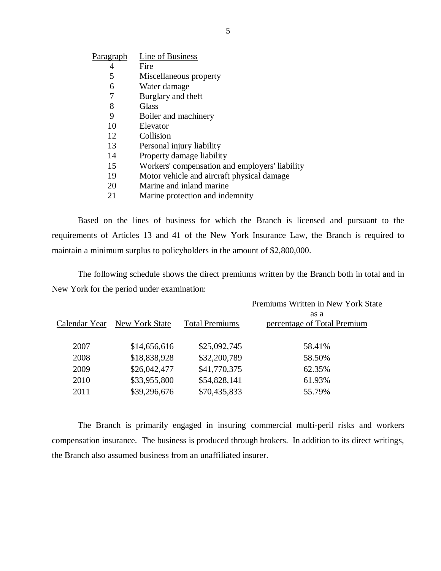| Line of Business                               |
|------------------------------------------------|
| Fire                                           |
| Miscellaneous property                         |
| Water damage                                   |
| Burglary and theft                             |
| Glass                                          |
| Boiler and machinery                           |
| Elevator                                       |
| Collision                                      |
| Personal injury liability                      |
| Property damage liability                      |
| Workers' compensation and employers' liability |
| Motor vehicle and aircraft physical damage     |
| Marine and inland marine                       |
| Marine protection and indemnity                |
|                                                |

 Based on the lines of business for which the Branch is licensed and pursuant to the requirements of Articles 13 and 41 of the New York Insurance Law, the Branch is required to maintain a minimum surplus to policyholders in the amount of \$2,800,000.

 New York for the period under examination: The following schedule shows the direct premiums written by the Branch both in total and in

|               |                |                       | Premiums Written in New York State  |
|---------------|----------------|-----------------------|-------------------------------------|
| Calendar Year | New York State | <b>Total Premiums</b> | as a<br>percentage of Total Premium |
| 2007          | \$14,656,616   | \$25,092,745          | 58.41%                              |
| 2008          | \$18,838,928   | \$32,200,789          | 58.50%                              |
| 2009          | \$26,042,477   | \$41,770,375          | 62.35%                              |
| 2010          | \$33,955,800   | \$54,828,141          | 61.93%                              |
| 2011          | \$39,296,676   | \$70,435,833          | 55.79%                              |

 compensation insurance. The business is produced through brokers. In addition to its direct writings, the Branch also assumed business from an unaffiliated insurer. The Branch is primarily engaged in insuring commercial multi-peril risks and workers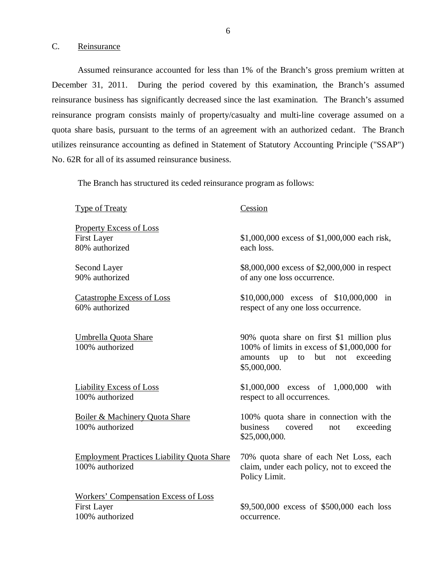#### C. Reinsurance

100% authorized

 Assumed reinsurance accounted for less than 1% of the Branch's gross premium written at December 31, 2011. During the period covered by this examination, the Branch's assumed reinsurance business has significantly decreased since the last examination. The Branch's assumed reinsurance program consists mainly of property/casualty and multi-line coverage assumed on a quota share basis, pursuant to the terms of an agreement with an authorized cedant. The Branch utilizes reinsurance accounting as defined in Statement of Statutory Accounting Principle ("SSAP") No. 62R for all of its assumed reinsurance business.

The Branch has structured its ceded reinsurance program as follows:

 Type of Treaty **Property Excess of Loss**  First Layer 80% authorized \$1,000,000 excess of \$1,000,000 each risk, each loss. 90% authorized \$8,000,000 excess of \$2,000,000 in respect of any one loss occurrence. Catastrophe Excess of Loss 60% authorized \$10,000,000 excess of \$10,000,000 in respect of any one loss occurrence. Umbrella Quota Share 100% authorized 90% quota share on first \$1 million plus 100% of limits in excess of \$1,000,000 for amounts up to but not exceeding Liability Excess of Loss 100% authorized \$1,000,000 excess of 1,000,000 with respect to all occurrences. Boiler & Machinery Quota Share 100% authorized 100% quota share in connection with the Employment Practices Liability Quota Share 100% authorized 70% quota share of each Net Loss, each claim, under each policy, not to exceed the Policy Limit. Workers' Compensation Excess of Loss First Layer \$9,500,000 excess of \$500,000 each loss Second Layer Cession \$5,000,000. business covered not exceeding \$25,000,000.

occurrence.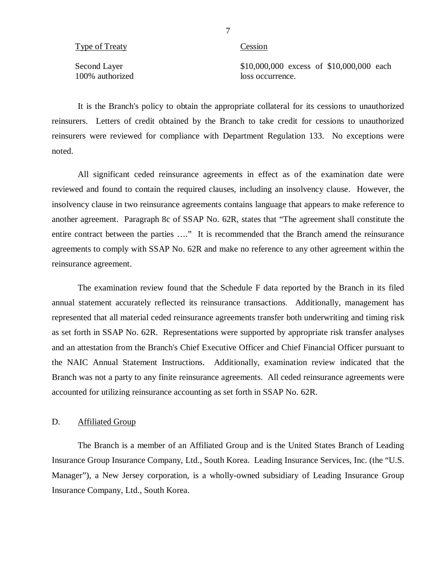| Type of Treaty |  |  |  |
|----------------|--|--|--|
|                |  |  |  |

Cession

100% authorized loss occurrence.

Second Layer \$10,000,000 excess of \$10,000,000 each loss occurrence.

 It is the Branch's policy to obtain the appropriate collateral for its cessions to unauthorized reinsurers. Letters of credit obtained by the Branch to take credit for cessions to unauthorized reinsurers were reviewed for compliance with Department Regulation 133. No exceptions were noted.

 All significant ceded reinsurance agreements in effect as of the examination date were reviewed and found to contain the required clauses, including an insolvency clause. However, the insolvency clause in two reinsurance agreements contains language that appears to make reference to another agreement. Paragraph 8c of SSAP No. 62R, states that "The agreement shall constitute the entire contract between the parties …." It is recommended that the Branch amend the reinsurance agreements to comply with SSAP No. 62R and make no reference to any other agreement within the reinsurance agreement.

 The examination review found that the Schedule F data reported by the Branch in its filed annual statement accurately reflected its reinsurance transactions. Additionally, management has represented that all material ceded reinsurance agreements transfer both underwriting and timing risk as set forth in SSAP No. 62R. Representations were supported by appropriate risk transfer analyses and an attestation from the Branch's Chief Executive Officer and Chief Financial Officer pursuant to the NAIC Annual Statement Instructions. Additionally, examination review indicated that the Branch was not a party to any finite reinsurance agreements. All ceded reinsurance agreements were accounted for utilizing reinsurance accounting as set forth in SSAP No. 62R.

#### D. Affiliated Group

 Insurance Group Insurance Company, Ltd., South Korea. Leading Insurance Services, Inc. (the "U.S. Manager"), a New Jersey corporation, is a wholly-owned subsidiary of Leading Insurance Group Insurance Company, Ltd., South Korea. The Branch is a member of an Affiliated Group and is the United States Branch of Leading

7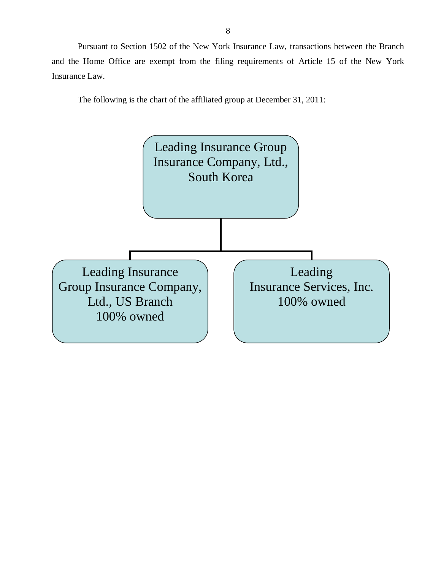Pursuant to Section 1502 of the New York Insurance Law, transactions between the Branch and the Home Office are exempt from the filing requirements of Article 15 of the New York Insurance Law.

The following is the chart of the affiliated group at December 31, 2011:

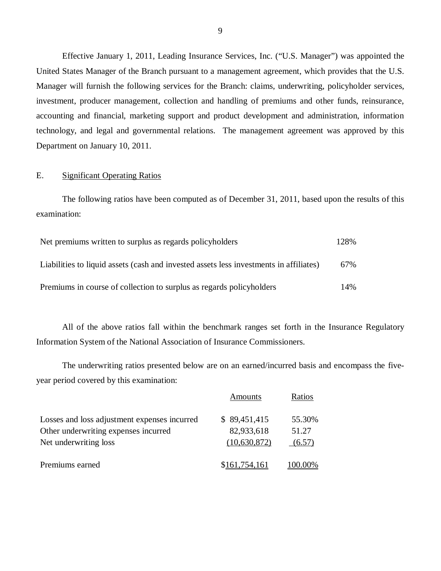Effective January 1, 2011, Leading Insurance Services, Inc. ("U.S. Manager") was appointed the United States Manager of the Branch pursuant to a management agreement, which provides that the U.S. Manager will furnish the following services for the Branch: claims, underwriting, policyholder services, investment, producer management, collection and handling of premiums and other funds, reinsurance, technology, and legal and governmental relations. The management agreement was approved by this Department on January 10, 2011. accounting and financial, marketing support and product development and administration, information

### E. Significant Operating Ratios

The following ratios have been computed as of December 31, 2011, based upon the results of this examination:

| Net premiums written to surplus as regards policyholders                               | 128% |
|----------------------------------------------------------------------------------------|------|
| Liabilities to liquid assets (cash and invested assets less investments in affiliates) | 67%  |
| Premiums in course of collection to surplus as regards policyholders                   | 14%  |

 Information System of the National Association of Insurance Commissioners. All of the above ratios fall within the benchmark ranges set forth in the Insurance Regulatory

 year period covered by this examination: The underwriting ratios presented below are on an earned/incurred basis and encompass the five-

|                                                                                                               | Amounts                                    | Ratios                    |
|---------------------------------------------------------------------------------------------------------------|--------------------------------------------|---------------------------|
| Losses and loss adjustment expenses incurred<br>Other underwriting expenses incurred<br>Net underwriting loss | \$89,451,415<br>82,933,618<br>(10,630,872) | 55.30%<br>51.27<br>(6.57) |
| Premiums earned                                                                                               | \$161,754,161                              |                           |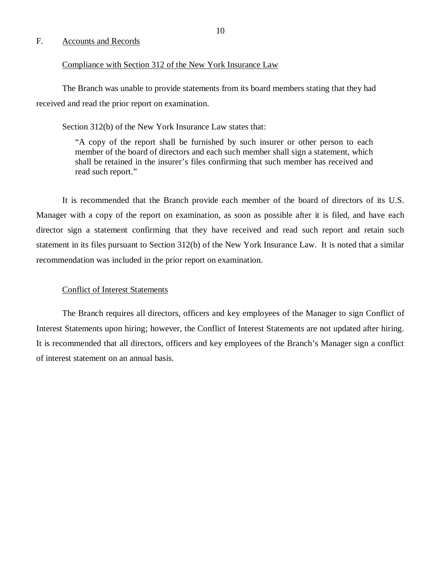### <span id="page-11-0"></span>F. Accounts and Records

#### Compliance with Section 312 of the New York Insurance Law

 received and read the prior report on examination. The Branch was unable to provide statements from its board members stating that they had

Section 312(b) of the New York Insurance Law states that:

 "A copy of the report shall be furnished by such insurer or other person to each member of the board of directors and each such member shall sign a statement, which shall be retained in the insurer's files confirming that such member has received and read such report."

 Manager with a copy of the report on examination, as soon as possible after it is filed, and have each director sign a statement confirming that they have received and read such report and retain such statement in its files pursuant to Section 312(b) of the New York Insurance Law. It is noted that a similar recommendation was included in the prior report on examination. It is recommended that the Branch provide each member of the board of directors of its U.S.

#### Conflict of Interest Statements

 Interest Statements upon hiring; however, the Conflict of Interest Statements are not updated after hiring. It is recommended that all directors, officers and key employees of the Branch's Manager sign a conflict of interest statement on an annual basis. The Branch requires all directors, officers and key employees of the Manager to sign Conflict of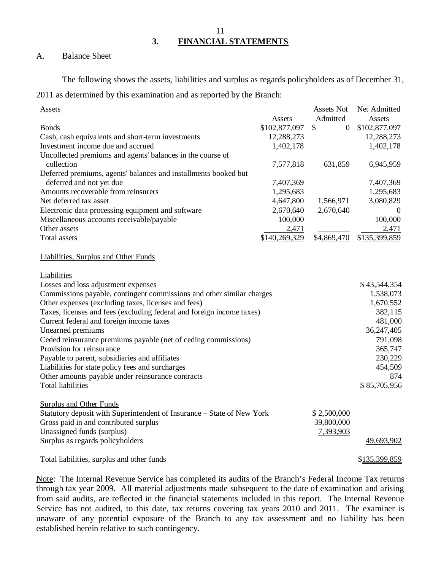**3. FINANCIAL STATEMENTS** 

#### A. **Balance Sheet**

The following shows the assets, liabilities and surplus as regards policyholders as of December 31,

2011 as determined by this examination and as reported by the Branch:

| <b>Assets</b>                                                          |               | Assets Not           | Net Admitted  |
|------------------------------------------------------------------------|---------------|----------------------|---------------|
|                                                                        | Assets        | Admitted             | Assets        |
| <b>Bonds</b>                                                           | \$102,877,097 | \$<br>$\overline{0}$ | \$102,877,097 |
| Cash, cash equivalents and short-term investments                      | 12,288,273    |                      | 12,288,273    |
| Investment income due and accrued                                      | 1,402,178     |                      | 1,402,178     |
| Uncollected premiums and agents' balances in the course of             |               |                      |               |
| collection                                                             | 7,577,818     | 631,859              | 6,945,959     |
| Deferred premiums, agents' balances and installments booked but        |               |                      |               |
| deferred and not yet due                                               | 7,407,369     |                      | 7,407,369     |
| Amounts recoverable from reinsurers                                    | 1,295,683     |                      | 1,295,683     |
| Net deferred tax asset                                                 | 4,647,800     | 1,566,971            | 3,080,829     |
| Electronic data processing equipment and software                      | 2,670,640     | 2,670,640            | $\theta$      |
| Miscellaneous accounts receivable/payable                              | 100,000       |                      | 100,000       |
| Other assets                                                           | 2,471         |                      | 2,471         |
| Total assets                                                           | \$140,269,329 | \$4,869,470          | \$135,399,859 |
|                                                                        |               |                      |               |
| Liabilities, Surplus and Other Funds                                   |               |                      |               |
|                                                                        |               |                      |               |
| Liabilities                                                            |               |                      |               |
| Losses and loss adjustment expenses                                    |               |                      | \$43,544,354  |
| Commissions payable, contingent commissions and other similar charges  |               |                      | 1,538,073     |
| Other expenses (excluding taxes, licenses and fees)                    |               |                      | 1,670,552     |
| Taxes, licenses and fees (excluding federal and foreign income taxes)  |               |                      | 382,115       |
| Current federal and foreign income taxes                               |               |                      | 481,000       |
| Unearned premiums                                                      |               |                      | 36,247,405    |
| Ceded reinsurance premiums payable (net of ceding commissions)         |               |                      | 791,098       |
| Provision for reinsurance                                              |               |                      | 365,747       |
| Payable to parent, subsidiaries and affiliates                         |               |                      | 230,229       |
| Liabilities for state policy fees and surcharges                       |               |                      | 454,509       |
| Other amounts payable under reinsurance contracts                      |               |                      | 874           |
| <b>Total liabilities</b>                                               |               |                      | \$85,705,956  |
|                                                                        |               |                      |               |
| <b>Surplus and Other Funds</b>                                         |               |                      |               |
| Statutory deposit with Superintendent of Insurance - State of New York |               | \$2,500,000          |               |
| Gross paid in and contributed surplus                                  |               | 39,800,000           |               |
| Unassigned funds (surplus)                                             |               | 7,393,903            |               |
| Surplus as regards policyholders                                       |               |                      | 49,693,902    |
|                                                                        |               |                      |               |
| Total liabilities, surplus and other funds                             |               |                      | \$135,399,859 |

Note: The Internal Revenue Service has completed its audits of the Branch's Federal Income Tax returns through tax year 2009. All material adjustments made subsequent to the date of examination and arising from said audits, are reflected in the financial statements included in this report. The Internal Revenue Service has not audited, to this date, tax returns covering tax years 2010 and 2011. The examiner is unaware of any potential exposure of the Branch to any tax assessment and no liability has been established herein relative to such contingency.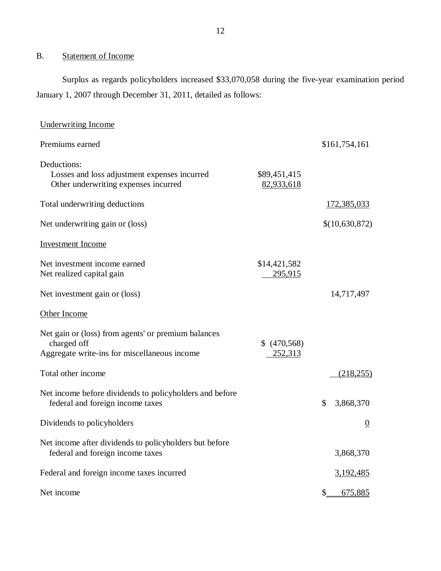#### B. Statement of Income

 Surplus as regards policyholders increased \$33,070,058 during the five-year examination period January 1, 2007 through December 31, 2011, detailed as follows:

| <b>Underwriting Income</b>                                                                                         |                             |                         |
|--------------------------------------------------------------------------------------------------------------------|-----------------------------|-------------------------|
| Premiums earned                                                                                                    |                             | \$161,754,161           |
| Deductions:<br>Losses and loss adjustment expenses incurred<br>Other underwriting expenses incurred                | \$89,451,415<br>82,933,618  |                         |
| Total underwriting deductions                                                                                      |                             | <u>172,385,033</u>      |
| Net underwriting gain or (loss)                                                                                    |                             | \$(10,630,872)          |
| <b>Investment Income</b>                                                                                           |                             |                         |
| Net investment income earned<br>Net realized capital gain                                                          | \$14,421,582<br>295,915     |                         |
| Net investment gain or (loss)                                                                                      |                             | 14,717,497              |
| Other Income                                                                                                       |                             |                         |
| Net gain or (loss) from agents' or premium balances<br>charged off<br>Aggregate write-ins for miscellaneous income | (470, 568)<br>\$<br>252,313 |                         |
| Total other income                                                                                                 |                             | (218, 255)              |
| Net income before dividends to policyholders and before<br>federal and foreign income taxes                        |                             | \$<br>3,868,370         |
| Dividends to policyholders                                                                                         |                             | $\overline{0}$          |
| Net income after dividends to policyholders but before<br>federal and foreign income taxes                         |                             | 3,868,370               |
| Federal and foreign income taxes incurred                                                                          |                             | <u>3,192,485</u>        |
| Net income                                                                                                         |                             | $\mathbb{S}$<br>675,885 |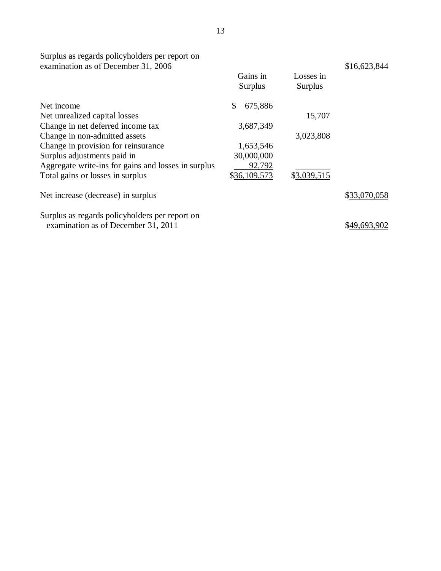Surplus as regards policyholders per report on examination as of December 31, 2006

|                                                     | Gains in<br><b>Surplus</b> | Losses in<br><b>Surplus</b> |              |
|-----------------------------------------------------|----------------------------|-----------------------------|--------------|
| Net income                                          | \$<br>675,886              |                             |              |
| Net unrealized capital losses                       |                            | 15,707                      |              |
| Change in net deferred income tax                   | 3,687,349                  |                             |              |
| Change in non-admitted assets                       |                            | 3,023,808                   |              |
| Change in provision for reinsurance                 | 1,653,546                  |                             |              |
| Surplus adjustments paid in                         | 30,000,000                 |                             |              |
| Aggregate write-ins for gains and losses in surplus | 92,792                     |                             |              |
| Total gains or losses in surplus                    | \$36,109,573               | \$3,039,515                 |              |
| Net increase (decrease) in surplus                  |                            |                             | \$33,070,058 |
| Surplus as regards policyholders per report on      |                            |                             |              |
| examination as of December 31, 2011                 |                            |                             | \$49,693,902 |

\$16,623,844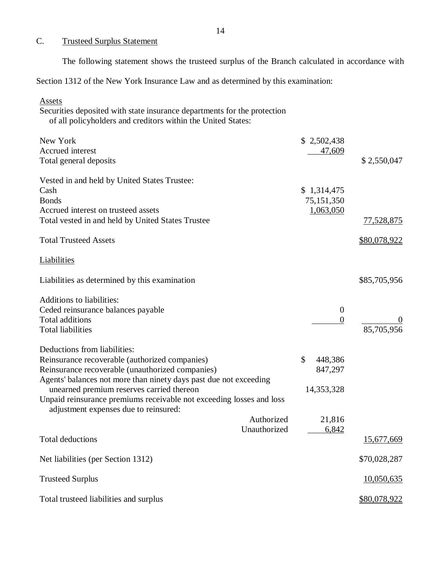#### C. Trusteed Surplus Statement

The following statement shows the trusteed surplus of the Branch calculated in accordance with

Section 1312 of the New York Insurance Law and as determined by this examination:

 Securities deposited with state insurance departments for the protection of all policyholders and creditors within the United States: New York \$ 2,502,438  $\overline{a}$ Total general deposits  $$ 2,550,047$  Vested in and held by United States Trustee:  $\cosh$  \$ 1,314,475 Accrued interest on trusteed assets 1,063,050 Total vested in and held by United States Trustee 77,528,875 Total Trusteed Assets  $\frac{$80,078,922}{2}$ Liabilities as determined by this examination  $$85,705,956$ Ceded reinsurance balances payable 0 Total additions  $\frac{0}{0}$  Total liabilities 85,705,956 Deductions from liabilities: Reinsurance recoverable (authorized companies)  $$ 448,386$  Reinsurance recoverable (unauthorized companies) 847,297 Agents' balances not more than ninety days past due not exceeding unearned premium reserves carried thereon 14,353,328 Unpaid reinsurance premiums receivable not exceeding losses and loss adjustment expenses due to reinsured:  $\overline{a}$  Total deductions Net liabilities (per Section 1312) \$70,028,287 Trusteed Surplus 10,050,635 Total trusteed liabilities and surplus  $\frac{$80,078,922}{2}$ Assets Accrued interest 47,609 Bonds 75,151,350 Liabilities Additions to liabilities: Authorized Unauthorized 21,816 6,842 15,677,669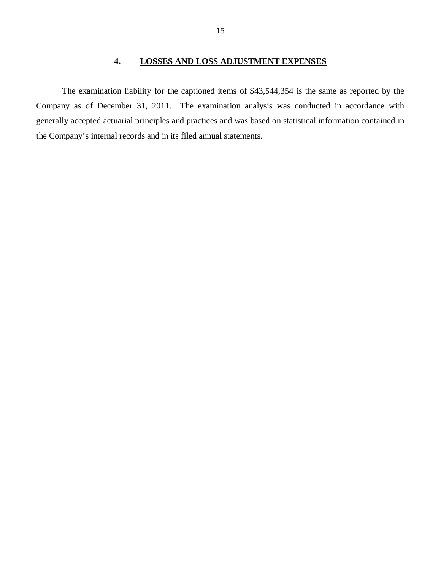## **4. LOSSES AND LOSS ADJUSTMENT EXPENSES**

<span id="page-16-0"></span> Company as of December 31, 2011. The examination analysis was conducted in accordance with generally accepted actuarial principles and practices and was based on statistical information contained in the Company's internal records and in its filed annual statements. The examination liability for the captioned items of \$43,544,354 is the same as reported by the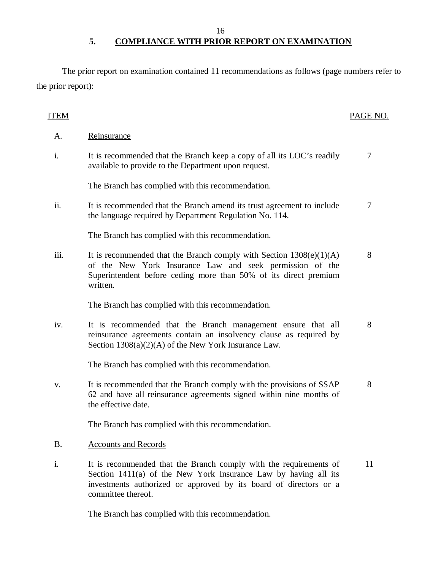16

## **5. COMPLIANCE WITH PRIOR REPORT ON EXAMINATION**

 The prior report on examination contained 11 recommendations as follows (page numbers refer to the prior report):

| <b>ITEM</b> |                                                                                                                                                                                                                                 | PAGE NO. |
|-------------|---------------------------------------------------------------------------------------------------------------------------------------------------------------------------------------------------------------------------------|----------|
| А.          | Reinsurance                                                                                                                                                                                                                     |          |
| i.          | It is recommended that the Branch keep a copy of all its LOC's readily<br>available to provide to the Department upon request.                                                                                                  | 7        |
|             | The Branch has complied with this recommendation.                                                                                                                                                                               |          |
| ii.         | It is recommended that the Branch amend its trust agreement to include<br>the language required by Department Regulation No. 114.                                                                                               | 7        |
|             | The Branch has complied with this recommendation.                                                                                                                                                                               |          |
| iii.        | It is recommended that the Branch comply with Section $1308(e)(1)(A)$<br>of the New York Insurance Law and seek permission of the<br>Superintendent before ceding more than 50% of its direct premium<br>written.               | 8        |
|             | The Branch has complied with this recommendation.                                                                                                                                                                               |          |
| iv.         | It is recommended that the Branch management ensure that all<br>reinsurance agreements contain an insolvency clause as required by<br>Section $1308(a)(2)(A)$ of the New York Insurance Law.                                    | 8        |
|             | The Branch has complied with this recommendation.                                                                                                                                                                               |          |
| V.          | It is recommended that the Branch comply with the provisions of SSAP<br>62 and have all reinsurance agreements signed within nine months of<br>the effective date.                                                              | 8        |
|             | The Branch has complied with this recommendation.                                                                                                                                                                               |          |
| <b>B.</b>   | <b>Accounts and Records</b>                                                                                                                                                                                                     |          |
| i.          | It is recommended that the Branch comply with the requirements of<br>Section 1411(a) of the New York Insurance Law by having all its<br>investments authorized or approved by its board of directors or a<br>committee thereof. | 11       |

The Branch has complied with this recommendation.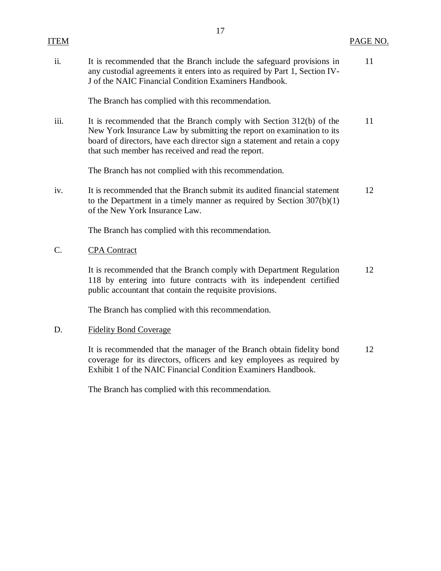| ITEM            | $\mathbf{1}$                                                                                                                                                                                                                                                                    | PAGE NO. |
|-----------------|---------------------------------------------------------------------------------------------------------------------------------------------------------------------------------------------------------------------------------------------------------------------------------|----------|
| ii.             | It is recommended that the Branch include the safeguard provisions in<br>any custodial agreements it enters into as required by Part 1, Section IV-<br>J of the NAIC Financial Condition Examiners Handbook.                                                                    | 11       |
|                 | The Branch has complied with this recommendation.                                                                                                                                                                                                                               |          |
| iii.            | It is recommended that the Branch comply with Section 312(b) of the<br>New York Insurance Law by submitting the report on examination to its<br>board of directors, have each director sign a statement and retain a copy<br>that such member has received and read the report. | 11       |
|                 | The Branch has not complied with this recommendation.                                                                                                                                                                                                                           |          |
| iv.             | It is recommended that the Branch submit its audited financial statement<br>to the Department in a timely manner as required by Section $307(b)(1)$<br>of the New York Insurance Law.                                                                                           | 12       |
|                 | The Branch has complied with this recommendation.                                                                                                                                                                                                                               |          |
| $\mathcal{C}$ . | <b>CPA</b> Contract                                                                                                                                                                                                                                                             |          |
|                 | It is recommended that the Branch comply with Department Regulation<br>118 by entering into future contracts with its independent certified<br>public accountant that contain the requisite provisions.                                                                         | 12       |
|                 |                                                                                                                                                                                                                                                                                 |          |

The Branch has complied with this recommendation.

## D. Fidelity Bond Coverage

 It is recommended that the manager of the Branch obtain fidelity bond coverage for its directors, officers and key employees as required by Exhibit 1 of the NAIC Financial Condition Examiners Handbook. 12

The Branch has complied with this recommendation.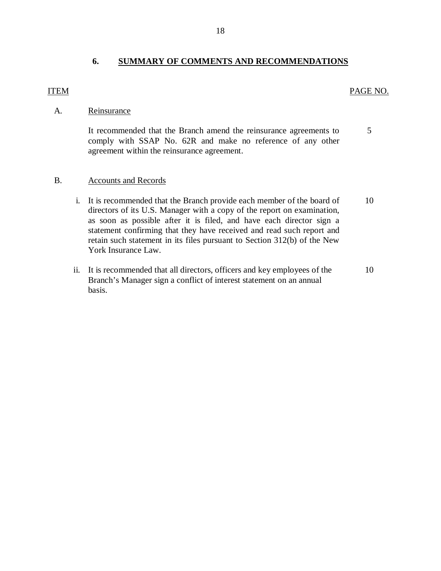## ITEM

## PAGE NO.

## A. Reinsurance

 It recommended that the Branch amend the reinsurance agreements to comply with SSAP No. 62R and make no reference of any other agreement within the reinsurance agreement. 5

#### B. Accounts and Records

- i. It is recommended that the Branch provide each member of the board of directors of its U.S. Manager with a copy of the report on examination, as soon as possible after it is filed, and have each director sign a statement confirming that they have received and read such report and retain such statement in its files pursuant to Section 312(b) of the New York Insurance Law. 10
- ii. It is recommended that all directors, officers and key employees of the Branch's Manager sign a conflict of interest statement on an annual basis. 10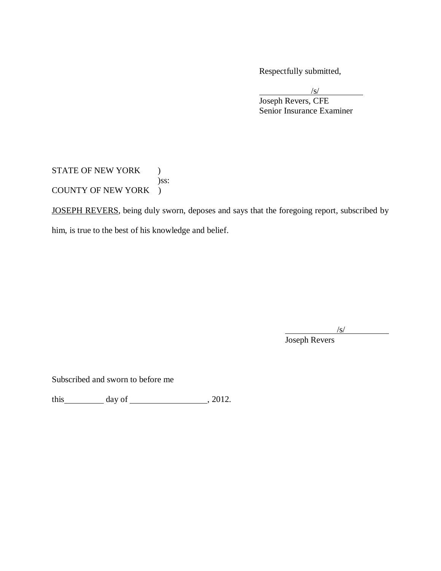Respectfully submitted,

 Senior Insurance Examiner /s/ Joseph Revers, CFE

STATE OF NEW YORK ) COUNTY OF NEW YORK ) )ss:

JOSEPH REVERS, being duly sworn, deposes and says that the foregoing report, subscribed by

him, is true to the best of his knowledge and belief.

 $\sqrt{s/}$ 

Joseph Revers

Subscribed and sworn to before me

this  $\_\_\_\_\_$  day of  $\_\_\_\_\_\_$ , 2012.